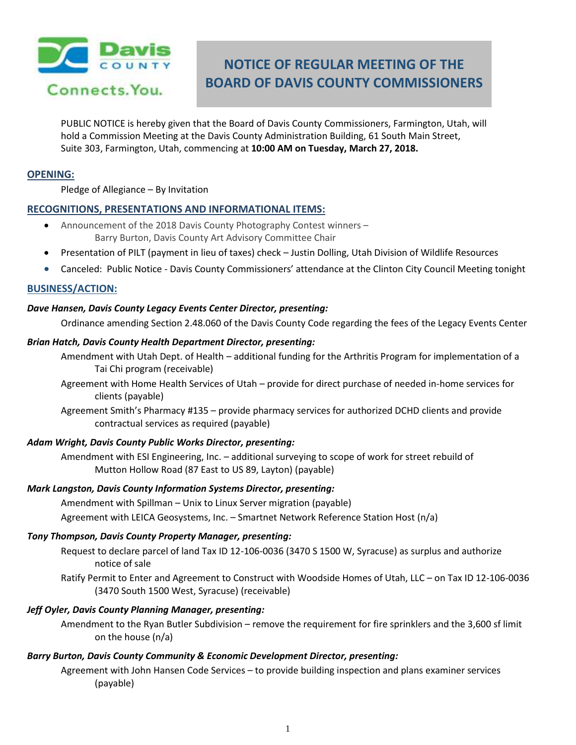

# **NOTICE OF REGULAR MEETING OF THE BOARD OF DAVIS COUNTY COMMISSIONERS**

PUBLIC NOTICE is hereby given that the Board of Davis County Commissioners, Farmington, Utah, will hold a Commission Meeting at the Davis County Administration Building, 61 South Main Street, Suite 303, Farmington, Utah, commencing at **10:00 AM on Tuesday, March 27, 2018.**

#### **OPENING:**

Pledge of Allegiance – By Invitation

## **RECOGNITIONS, PRESENTATIONS AND INFORMATIONAL ITEMS:**

- Announcement of the 2018 Davis County Photography Contest winners Barry Burton, Davis County Art Advisory Committee Chair
- Presentation of PILT (payment in lieu of taxes) check Justin Dolling, Utah Division of Wildlife Resources
- Canceled: Public Notice Davis County Commissioners' attendance at the Clinton City Council Meeting tonight

## **BUSINESS/ACTION:**

#### *Dave Hansen, Davis County Legacy Events Center Director, presenting:*

Ordinance amending Section 2.48.060 of the Davis County Code regarding the fees of the Legacy Events Center

#### *Brian Hatch, Davis County Health Department Director, presenting:*

- Amendment with Utah Dept. of Health additional funding for the Arthritis Program for implementation of a Tai Chi program (receivable)
- Agreement with Home Health Services of Utah provide for direct purchase of needed in-home services for clients (payable)
- Agreement Smith's Pharmacy #135 provide pharmacy services for authorized DCHD clients and provide contractual services as required (payable)

## *Adam Wright, Davis County Public Works Director, presenting:*

Amendment with ESI Engineering, Inc. – additional surveying to scope of work for street rebuild of Mutton Hollow Road (87 East to US 89, Layton) (payable)

#### *Mark Langston, Davis County Information Systems Director, presenting:*

Amendment with Spillman – Unix to Linux Server migration (payable)

Agreement with LEICA Geosystems, Inc. – Smartnet Network Reference Station Host (n/a)

#### *Tony Thompson, Davis County Property Manager, presenting:*

Request to declare parcel of land Tax ID 12-106-0036 (3470 S 1500 W, Syracuse) as surplus and authorize notice of sale

Ratify Permit to Enter and Agreement to Construct with Woodside Homes of Utah, LLC – on Tax ID 12-106-0036 (3470 South 1500 West, Syracuse) (receivable)

#### *Jeff Oyler, Davis County Planning Manager, presenting:*

Amendment to the Ryan Butler Subdivision – remove the requirement for fire sprinklers and the 3,600 sf limit on the house (n/a)

#### *Barry Burton, Davis County Community & Economic Development Director, presenting:*

Agreement with John Hansen Code Services – to provide building inspection and plans examiner services (payable)